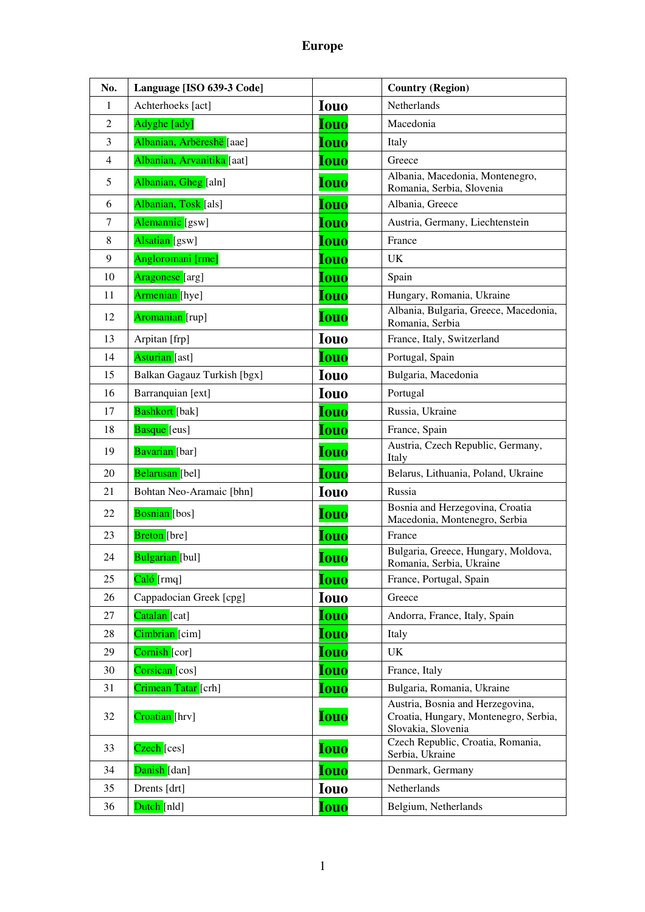| No.            | Language [ISO 639-3 Code]   |             | <b>Country (Region)</b>                                                                         |
|----------------|-----------------------------|-------------|-------------------------------------------------------------------------------------------------|
| 1              | Achterhoeks [act]           | <b>Iouo</b> | Netherlands                                                                                     |
| $\mathfrak{2}$ | Adyghe [ady]                | <b>Iouo</b> | Macedonia                                                                                       |
| 3              | Albanian, Arbëreshë [aae]   | <b>Iouo</b> | Italy                                                                                           |
| $\overline{4}$ | Albanian, Arvanitika [aat]  | <b>Iouo</b> | Greece                                                                                          |
| 5              | Albanian, Gheg [aln]        | <b>Iouo</b> | Albania, Macedonia, Montenegro,<br>Romania, Serbia, Slovenia                                    |
| 6              | Albanian, Tosk [als]        | <b>Iouo</b> | Albania, Greece                                                                                 |
| 7              | Alemannic [gsw]             | <b>Iouo</b> | Austria, Germany, Liechtenstein                                                                 |
| 8              | Alsatian [gsw]              | <b>Iouo</b> | France                                                                                          |
| 9              | Angloromani [rme]           | <b>Iouo</b> | UK                                                                                              |
| 10             | Aragonese [arg]             | <b>Iouo</b> | Spain                                                                                           |
| 11             | Armenian [hye]              | <b>Iouo</b> | Hungary, Romania, Ukraine                                                                       |
| 12             | Aromanian [rup]             | <b>Iouo</b> | Albania, Bulgaria, Greece, Macedonia,<br>Romania, Serbia                                        |
| 13             | Arpitan [frp]               | <b>Iouo</b> | France, Italy, Switzerland                                                                      |
| 14             | Asturian [ast]              | <b>Iouo</b> | Portugal, Spain                                                                                 |
| 15             | Balkan Gagauz Turkish [bgx] | <b>Iouo</b> | Bulgaria, Macedonia                                                                             |
| 16             | Barranquian [ext]           | <b>Iouo</b> | Portugal                                                                                        |
| 17             | Bashkort [bak]              | <b>Iouo</b> | Russia, Ukraine                                                                                 |
| 18             | <b>Basque</b> [eus]         | <b>Iouo</b> | France, Spain                                                                                   |
| 19             | Bavarian [bar]              | <b>Iouo</b> | Austria, Czech Republic, Germany,<br>Italy                                                      |
| 20             | Belarusan [bel]             | <b>Iouo</b> | Belarus, Lithuania, Poland, Ukraine                                                             |
| 21             | Bohtan Neo-Aramaic [bhn]    | <b>Iouo</b> | Russia                                                                                          |
| 22             | <b>Bosnian</b> [bos]        | <b>Iouo</b> | Bosnia and Herzegovina, Croatia<br>Macedonia, Montenegro, Serbia                                |
| 23             | Breton [bre]                | <b>Iouo</b> | France                                                                                          |
| 24             | Bulgarian [bul]             | <b>Iouo</b> | Bulgaria, Greece, Hungary, Moldova,<br>Romania, Serbia, Ukraine                                 |
| 25             | $Cal6$ [rmq]                | <b>Iouo</b> | France, Portugal, Spain                                                                         |
| 26             | Cappadocian Greek [cpg]     | <b>Iouo</b> | Greece                                                                                          |
| 27             | Catalan <sup>[cat]</sup>    | <b>Iouo</b> | Andorra, France, Italy, Spain                                                                   |
| 28             | Cimbrian [cim]              | <b>Iouo</b> | Italy                                                                                           |
| 29             | Cornish [cor]               | <u>Iouo</u> | <b>UK</b>                                                                                       |
| 30             | Corsican [cos]              | <b>Iouo</b> | France, Italy                                                                                   |
| 31             | Crimean Tatar [crh]         | <u>Iouo</u> | Bulgaria, Romania, Ukraine                                                                      |
| 32             | Croatian [hrv]              | <b>Iouo</b> | Austria, Bosnia and Herzegovina,<br>Croatia, Hungary, Montenegro, Serbia,<br>Slovakia, Slovenia |
| 33             | $Czech$ $[ces]$             | <b>Iouo</b> | Czech Republic, Croatia, Romania,<br>Serbia, Ukraine                                            |
| 34             | Danish [dan]                | <b>Iouo</b> | Denmark, Germany                                                                                |
| 35             | Drents [drt]                | <b>Iouo</b> | Netherlands                                                                                     |
| 36             | Dutch [nld]                 | <b>Iouo</b> | Belgium, Netherlands                                                                            |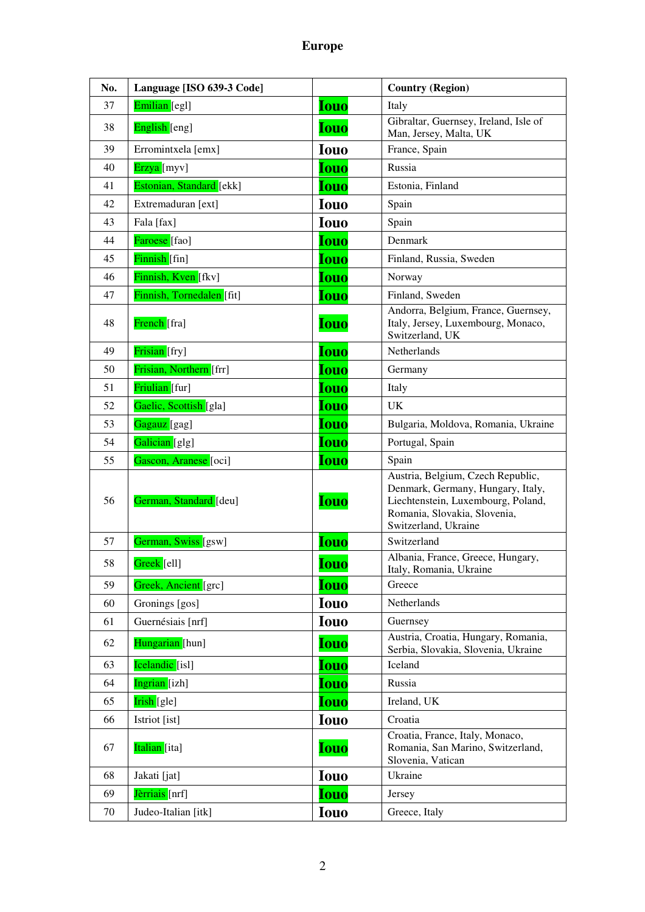| No. | Language [ISO 639-3 Code] |             | <b>Country (Region)</b>                                                                                                                                              |
|-----|---------------------------|-------------|----------------------------------------------------------------------------------------------------------------------------------------------------------------------|
| 37  | Emilian <sup>[egl]</sup>  | <b>Iouo</b> | Italy                                                                                                                                                                |
| 38  | English [eng]             | <b>Iouo</b> | Gibraltar, Guernsey, Ireland, Isle of<br>Man, Jersey, Malta, UK                                                                                                      |
| 39  | Erromintxela [emx]        | <b>Iouo</b> | France, Spain                                                                                                                                                        |
| 40  | Erzya [myv]               | <b>Iouo</b> | Russia                                                                                                                                                               |
| 41  | Estonian, Standard [ekk]  | <b>Iouo</b> | Estonia, Finland                                                                                                                                                     |
| 42  | Extremaduran [ext]        | <b>Iouo</b> | Spain                                                                                                                                                                |
| 43  | Fala [fax]                | <b>Iouo</b> | Spain                                                                                                                                                                |
| 44  | Faroese <sup>[fao]</sup>  | <b>Iouo</b> | Denmark                                                                                                                                                              |
| 45  | Finnish [fin]             | <b>Iouo</b> | Finland, Russia, Sweden                                                                                                                                              |
| 46  | Finnish, Kven [fkv]       | <b>Iouo</b> | Norway                                                                                                                                                               |
| 47  | Finnish, Tornedalen [fit] | <b>Iouo</b> | Finland, Sweden                                                                                                                                                      |
| 48  | French [fra]              | <b>Iouo</b> | Andorra, Belgium, France, Guernsey,<br>Italy, Jersey, Luxembourg, Monaco,<br>Switzerland, UK                                                                         |
| 49  | Frisian [fry]             | <b>Iouo</b> | Netherlands                                                                                                                                                          |
| 50  | Frisian, Northern [frr]   | <b>Iouo</b> | Germany                                                                                                                                                              |
| 51  | Friulian [fur]            | <b>Iouo</b> | Italy                                                                                                                                                                |
| 52  | Gaelic, Scottish [gla]    | <b>Iouo</b> | <b>UK</b>                                                                                                                                                            |
| 53  | Gagauz <sup>[gag]</sup>   | <b>Iouo</b> | Bulgaria, Moldova, Romania, Ukraine                                                                                                                                  |
| 54  | Galician [glg]            | <b>Iouo</b> | Portugal, Spain                                                                                                                                                      |
| 55  | Gascon, Aranese [oci]     | <b>Iouo</b> | Spain                                                                                                                                                                |
| 56  | German, Standard [deu]    | <b>Iouo</b> | Austria, Belgium, Czech Republic,<br>Denmark, Germany, Hungary, Italy,<br>Liechtenstein, Luxembourg, Poland,<br>Romania, Slovakia, Slovenia,<br>Switzerland, Ukraine |
| 57  | German, Swiss [gsw]       | <b>Iouo</b> | Switzerland                                                                                                                                                          |
| 58  | Greek [ell]               | <b>Iouo</b> | Albania, France, Greece, Hungary,<br>Italy, Romania, Ukraine                                                                                                         |
| 59  | Greek, Ancient [grc]      | <b>Iouo</b> | Greece                                                                                                                                                               |
| 60  | Gronings [gos]            | <b>Iouo</b> | Netherlands                                                                                                                                                          |
| 61  | Guernésiais [nrf]         | <b>Iouo</b> | Guernsey                                                                                                                                                             |
| 62  | Hungarian [hun]           | <b>Iouo</b> | Austria, Croatia, Hungary, Romania,<br>Serbia, Slovakia, Slovenia, Ukraine                                                                                           |
| 63  | Icelandic [isl]           | <b>Iouo</b> | Iceland                                                                                                                                                              |
| 64  | Ingrian [izh]             | <b>Iouo</b> | Russia                                                                                                                                                               |
| 65  | Irish [gle]               | <b>Iouo</b> | Ireland, UK                                                                                                                                                          |
| 66  | Istriot [ist]             | <b>Iouo</b> | Croatia                                                                                                                                                              |
| 67  | Italian [ita]             | <b>Iouo</b> | Croatia, France, Italy, Monaco,<br>Romania, San Marino, Switzerland,<br>Slovenia, Vatican                                                                            |
| 68  | Jakati [jat]              | <b>Iouo</b> | Ukraine                                                                                                                                                              |
| 69  | Jèrriais [nrf]            | <b>Iouo</b> | Jersey                                                                                                                                                               |
| 70  | Judeo-Italian [itk]       | <b>Iouo</b> | Greece, Italy                                                                                                                                                        |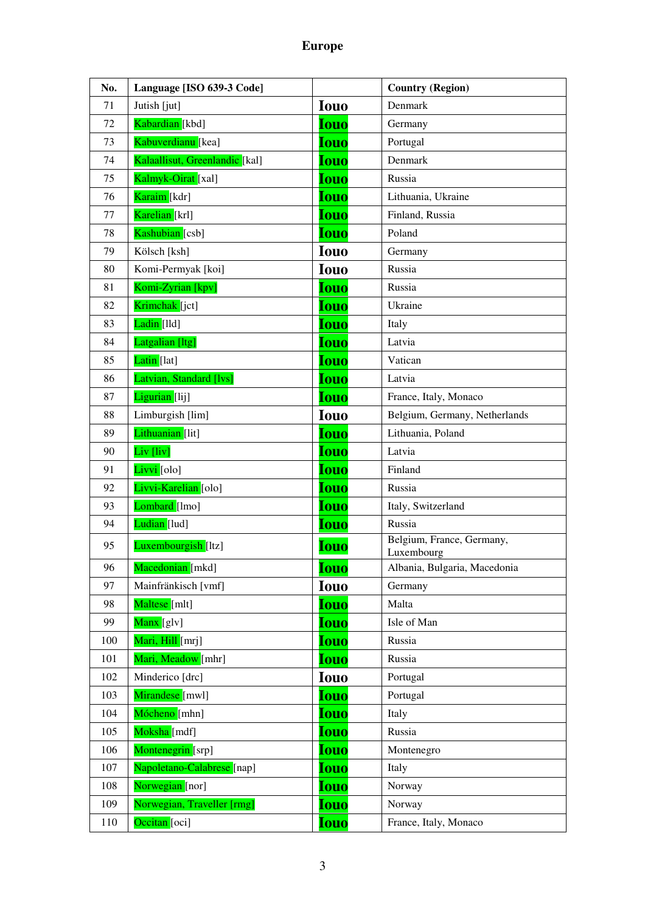| No. | Language [ISO 639-3 Code]      |             | <b>Country (Region)</b>                 |
|-----|--------------------------------|-------------|-----------------------------------------|
| 71  | Jutish [jut]                   | <b>Iouo</b> | Denmark                                 |
| 72  | Kabardian [kbd]                | <b>Iouo</b> | Germany                                 |
| 73  | Kabuverdianu <sup>[kea]</sup>  | <b>Iouo</b> | Portugal                                |
| 74  | Kalaallisut, Greenlandic [kal] | <b>Iouo</b> | Denmark                                 |
| 75  | Kalmyk-Oirat [xal]             | <b>Iouo</b> | Russia                                  |
| 76  | Karaim [kdr]                   | <b>Iouo</b> | Lithuania, Ukraine                      |
| 77  | Karelian [krl]                 | <b>Iouo</b> | Finland, Russia                         |
| 78  | Kashubian [csb]                | <b>Iouo</b> | Poland                                  |
| 79  | Kölsch [ksh]                   | <b>Iouo</b> | Germany                                 |
| 80  | Komi-Permyak [koi]             | <b>Iouo</b> | Russia                                  |
| 81  | Komi-Zyrian [kpv]              | <b>Iouo</b> | Russia                                  |
| 82  | Krimchak [jct]                 | <b>Iouo</b> | Ukraine                                 |
| 83  | Ladin [lld]                    | <b>Iouo</b> | Italy                                   |
| 84  | Latgalian [ltg]                | <b>Iouo</b> | Latvia                                  |
| 85  | Latin [lat]                    | <b>Iouo</b> | Vatican                                 |
| 86  | Latvian, Standard [lvs]        | <b>Iouo</b> | Latvia                                  |
| 87  | Ligurian [lij]                 | <b>Iouo</b> | France, Italy, Monaco                   |
| 88  | Limburgish [lim]               | <b>Iouo</b> | Belgium, Germany, Netherlands           |
| 89  | Lithuanian [lit]               | <b>Iouo</b> | Lithuania, Poland                       |
| 90  | Liv [liv]                      | <b>Iouo</b> | Latvia                                  |
| 91  | Livvi [olo]                    | <b>Iouo</b> | Finland                                 |
| 92  | Livvi-Karelian [olo]           | <b>Iouo</b> | Russia                                  |
| 93  | Lombard [lmo]                  | <b>Iouo</b> | Italy, Switzerland                      |
| 94  | Ludian [lud]                   | <b>Iouo</b> | Russia                                  |
| 95  | Luxembourgish [ltz]            | <b>Iouo</b> | Belgium, France, Germany,<br>Luxembourg |
| 96  | Macedonian [mkd]               | <b>Iouo</b> | Albania, Bulgaria, Macedonia            |
| 97  | Mainfränkisch [vmf]            | <b>Iouo</b> | Germany                                 |
| 98  | Maltese [mlt]                  | <b>Iouo</b> | Malta                                   |
| 99  | Manx [glv]                     | <b>Iouo</b> | Isle of Man                             |
| 100 | Mari, Hill [mrj]               | <b>Iouo</b> | Russia                                  |
| 101 | Mari, Meadow [mhr]             | Iouo        | Russia                                  |
| 102 | Minderico [drc]                | <b>Iouo</b> | Portugal                                |
| 103 | Mirandese [mwl]                | <b>Iouo</b> | Portugal                                |
| 104 | Mócheno [mhn]                  | <b>Iouo</b> | Italy                                   |
| 105 | Moksha [mdf]                   | <b>Iouo</b> | Russia                                  |
| 106 | Montenegrin [srp]              | Iouo        | Montenegro                              |
| 107 | Napoletano-Calabrese [nap]     | <b>Iouo</b> | Italy                                   |
| 108 | Norwegian [nor]                | <b>Iouo</b> | Norway                                  |
| 109 | Norwegian, Traveller [rmg]     | <b>Iouo</b> | Norway                                  |
| 110 | Occitan [oci]                  | <b>Iouo</b> | France, Italy, Monaco                   |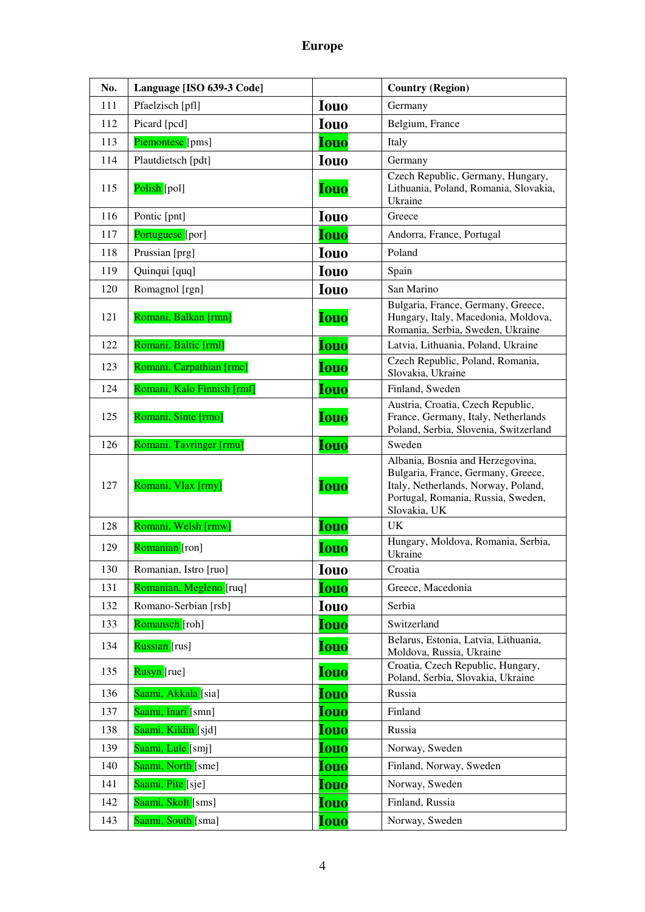| No. | Language [ISO 639-3 Code]  |             | <b>Country (Region)</b>                                                                                                                                             |
|-----|----------------------------|-------------|---------------------------------------------------------------------------------------------------------------------------------------------------------------------|
| 111 | Pfaelzisch [pfl]           | <b>Iouo</b> | Germany                                                                                                                                                             |
| 112 | Picard [pcd]               | <b>Iouo</b> | Belgium, France                                                                                                                                                     |
| 113 | Piemontese [pms]           | <b>Iouo</b> | Italy                                                                                                                                                               |
| 114 | Plautdietsch [pdt]         | <b>Iouo</b> | Germany                                                                                                                                                             |
| 115 | Polish [pol]               | <b>Iouo</b> | Czech Republic, Germany, Hungary,<br>Lithuania, Poland, Romania, Slovakia,<br>Ukraine                                                                               |
| 116 | Pontic [pnt]               | <b>Iouo</b> | Greece                                                                                                                                                              |
| 117 | Portuguese [por]           | <b>Iouo</b> | Andorra, France, Portugal                                                                                                                                           |
| 118 | Prussian [prg]             | <b>Iouo</b> | Poland                                                                                                                                                              |
| 119 | Quinqui [quq]              | <b>Iouo</b> | Spain                                                                                                                                                               |
| 120 | Romagnol [rgn]             | <b>Iouo</b> | San Marino                                                                                                                                                          |
| 121 | Romani, Balkan [rmn]       | <b>Iouo</b> | Bulgaria, France, Germany, Greece,<br>Hungary, Italy, Macedonia, Moldova,<br>Romania, Serbia, Sweden, Ukraine                                                       |
| 122 | Romani, Baltic [rml]       | <b>Iouo</b> | Latvia, Lithuania, Poland, Ukraine                                                                                                                                  |
| 123 | Romani, Carpathian [rmc]   | <b>Iouo</b> | Czech Republic, Poland, Romania,<br>Slovakia, Ukraine                                                                                                               |
| 124 | Romani, Kalo Finnish [rmf] | <b>Iouo</b> | Finland, Sweden                                                                                                                                                     |
| 125 | Romani, Sinte [rmo]        | <b>Iouo</b> | Austria, Croatia, Czech Republic,<br>France, Germany, Italy, Netherlands<br>Poland, Serbia, Slovenia, Switzerland                                                   |
| 126 | Romani, Tavringer [rmu]    | <b>Iouo</b> | Sweden                                                                                                                                                              |
| 127 | Romani, Vlax [rmy]         | <b>Iouo</b> | Albania, Bosnia and Herzegovina,<br>Bulgaria, France, Germany, Greece,<br>Italy, Netherlands, Norway, Poland,<br>Portugal, Romania, Russia, Sweden,<br>Slovakia, UK |
| 128 | Romani, Welsh [rmw]        | <b>Iouo</b> | <b>UK</b>                                                                                                                                                           |
| 129 | Romanian [ron]             | <b>Iouo</b> | Hungary, Moldova, Romania, Serbia,<br>Ukraine                                                                                                                       |
| 130 | Romanian, Istro [ruo]      | <b>Iouo</b> | Croatia                                                                                                                                                             |
| 131 | Romanian, Megleno [ruq]    | <b>Iouo</b> | Greece, Macedonia                                                                                                                                                   |
| 132 | Romano-Serbian [rsb]       | <b>Iouo</b> | Serbia                                                                                                                                                              |
| 133 | Romansch [roh]             | <b>Iouo</b> | Switzerland                                                                                                                                                         |
| 134 | Russian [rus]              | <b>Iouo</b> | Belarus, Estonia, Latvia, Lithuania,<br>Moldova, Russia, Ukraine                                                                                                    |
| 135 | Rusyn [rue]                | <b>Iouo</b> | Croatia, Czech Republic, Hungary,<br>Poland, Serbia, Slovakia, Ukraine                                                                                              |
| 136 | Saami, Akkala [sia]        | Iouo        | Russia                                                                                                                                                              |
| 137 | Saami, Inari [smn]         | <b>Iouo</b> | Finland                                                                                                                                                             |
| 138 | Saami, Kildin [sjd]        | <b>Iouo</b> | Russia                                                                                                                                                              |
| 139 | Saami, Lule [smj]          | <b>Iouo</b> | Norway, Sweden                                                                                                                                                      |
| 140 | Saami, North [sme]         | <b>Iouo</b> | Finland, Norway, Sweden                                                                                                                                             |
| 141 | Saami, Pite [sje]          | <b>Iouo</b> | Norway, Sweden                                                                                                                                                      |
| 142 | Saami, Skolt [sms]         | Iouo        | Finland, Russia                                                                                                                                                     |
| 143 | Saami, South [sma]         | Iouo        | Norway, Sweden                                                                                                                                                      |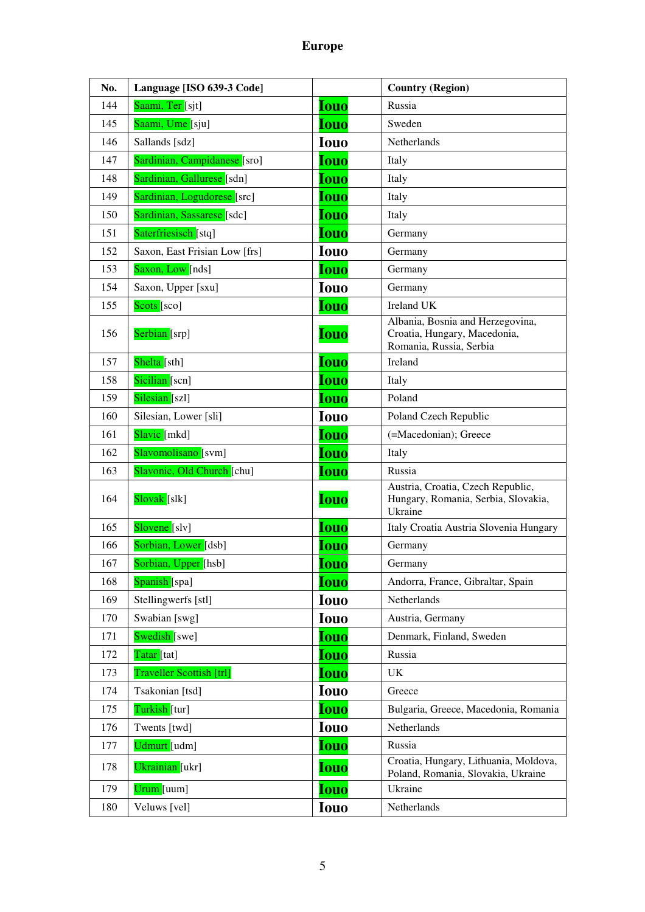| No. | Language [ISO 639-3 Code]       |             | <b>Country (Region)</b>                                                             |
|-----|---------------------------------|-------------|-------------------------------------------------------------------------------------|
| 144 | Saami, Ter [sjt]                | <b>Iouo</b> | Russia                                                                              |
| 145 | Saami, Ume [sju]                | <b>Iouo</b> | Sweden                                                                              |
| 146 | Sallands [sdz]                  | <b>Iouo</b> | Netherlands                                                                         |
| 147 | Sardinian, Campidanese [sro]    | <b>Iouo</b> | Italy                                                                               |
| 148 | Sardinian, Gallurese [sdn]      | <b>Iouo</b> | Italy                                                                               |
| 149 | Sardinian, Logudorese [src]     | <b>Iouo</b> | Italy                                                                               |
| 150 | Sardinian, Sassarese [sdc]      | <b>Iouo</b> | Italy                                                                               |
| 151 | Saterfriesisch [stq]            | <b>Iouo</b> | Germany                                                                             |
| 152 | Saxon, East Frisian Low [frs]   | <b>Iouo</b> | Germany                                                                             |
| 153 | Saxon, Low [nds]                | <b>Iouo</b> | Germany                                                                             |
| 154 | Saxon, Upper [sxu]              | <b>Iouo</b> | Germany                                                                             |
| 155 | Scots [sco]                     | <b>Iouo</b> | <b>Ireland UK</b>                                                                   |
|     |                                 |             | Albania, Bosnia and Herzegovina,                                                    |
| 156 | Serbian [srp]                   | <b>Iouo</b> | Croatia, Hungary, Macedonia,<br>Romania, Russia, Serbia                             |
| 157 | Shelta [sth]                    | <b>Iouo</b> | Ireland                                                                             |
| 158 | Sicilian [scn]                  | <b>Iouo</b> | Italy                                                                               |
| 159 | Silesian [szl]                  | <b>Iouo</b> | Poland                                                                              |
| 160 | Silesian, Lower [sli]           | <b>Iouo</b> | Poland Czech Republic                                                               |
| 161 | Slavic [mkd]                    | <b>Iouo</b> | (=Macedonian); Greece                                                               |
| 162 | Slavomolisano [svm]             | <b>Iouo</b> | Italy                                                                               |
| 163 | Slavonic, Old Church [chu]      | <b>Iouo</b> | Russia                                                                              |
| 164 | Slovak [slk]                    | <b>Iouo</b> | Austria, Croatia, Czech Republic,<br>Hungary, Romania, Serbia, Slovakia,<br>Ukraine |
| 165 | Slovene [slv]                   | <b>Iouo</b> | Italy Croatia Austria Slovenia Hungary                                              |
| 166 | Sorbian, Lower <sup>[dsb]</sup> | <b>Iouo</b> | Germany                                                                             |
| 167 | Sorbian, Upper [hsb]            | <b>Iouo</b> | Germany                                                                             |
| 168 | Spanish [spa]                   | <b>Iouo</b> | Andorra, France, Gibraltar, Spain                                                   |
| 169 | Stellingwerfs [stl]             | <b>Iouo</b> | Netherlands                                                                         |
| 170 | Swabian [swg]                   | <b>Iouo</b> | Austria, Germany                                                                    |
| 171 | Swedish [swe]                   | <b>Iouo</b> | Denmark, Finland, Sweden                                                            |
| 172 | Tatar [tat]                     | <b>Iouo</b> | Russia                                                                              |
| 173 | Traveller Scottish [trl]        | <b>Iouo</b> | <b>UK</b>                                                                           |
| 174 | Tsakonian [tsd]                 | <b>Iouo</b> | Greece                                                                              |
| 175 | Turkish [tur]                   | <b>Iouo</b> | Bulgaria, Greece, Macedonia, Romania                                                |
| 176 | Twents [twd]                    | <b>Iouo</b> | Netherlands                                                                         |
| 177 | Udmurt [udm]                    | <b>Iouo</b> | Russia                                                                              |
| 178 | Ukrainian [ukr]                 | <b>Iouo</b> | Croatia, Hungary, Lithuania, Moldova,<br>Poland, Romania, Slovakia, Ukraine         |
| 179 | Urum [uum]                      | <b>Iouo</b> | Ukraine                                                                             |
| 180 | Veluws [vel]                    | <b>Iouo</b> | Netherlands                                                                         |